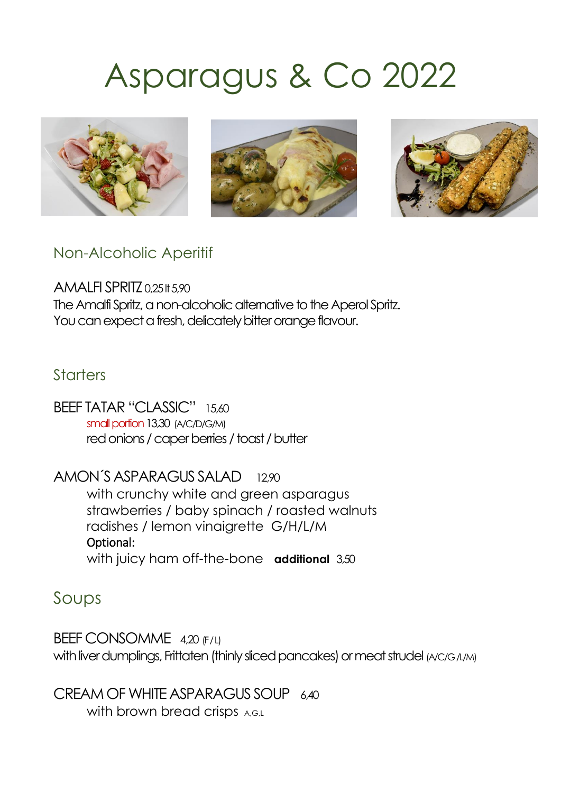# Asparagus & Co 2022



Non-Alcoholic Aperitif

AMALFI SPRITZ 0,25 It 5,90 The Amalfi Spritz, a non-alcoholic alternative to the Aperol Spritz. You can expect a fresh, delicately bitter orange flavour.

#### **Starters**

BEEF TATAR "CLASSIC" 15,60 small portion 13,30 (A/C/D/G/M) red onions / caper berries / toast / butter

AMON´S ASPARAGUS SALAD12,90 with crunchy white and green asparagus strawberries / baby spinach / roasted walnuts radishes / lemon vinaigrette G/H/L/M Optional: with juicy ham off-the-bone **additional** 3,50

Soups

BEEF CONSOMME 4,20 (F/L) with liver dumplings, Frittaten (thinly sliced pancakes) or meat strudel (A/C/G/L/M)

CREAM OF WHITE ASPARAGUS SOUP 6.40 with brown bread crisps A,G,L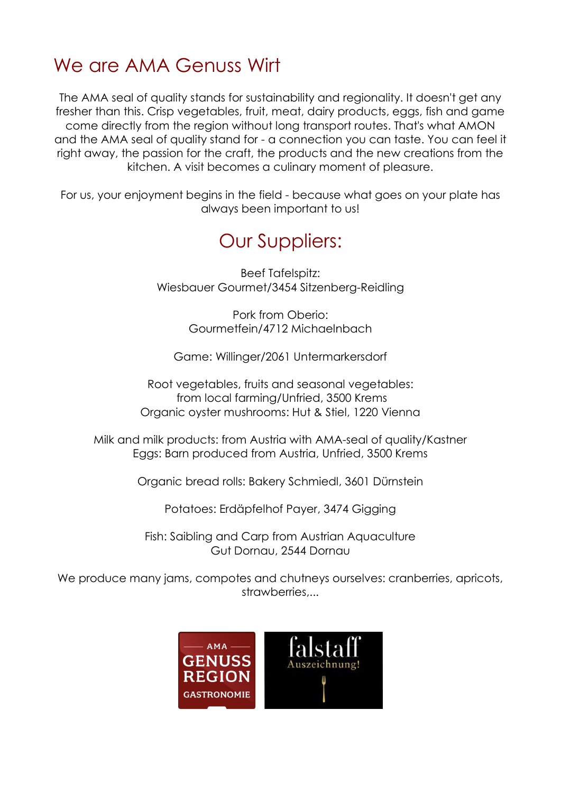## We are AMA Genuss Wirt

The AMA seal of quality stands for sustainability and regionality. It doesn't get any fresher than this. Crisp vegetables, fruit, meat, dairy products, eggs, fish and game come directly from the region without long transport routes. That's what AMON and the AMA seal of quality stand for - a connection you can taste. You can feel it right away, the passion for the craft, the products and the new creations from the kitchen. A visit becomes a culinary moment of pleasure.

For us, your enjoyment begins in the field - because what goes on your plate has always been important to us!

### Our Suppliers:

Beef Tafelspitz: Wiesbauer Gourmet/3454 Sitzenberg-Reidling

> Pork from Oberio: Gourmetfein/4712 Michaelnbach

Game: Willinger/2061 Untermarkersdorf

Root vegetables, fruits and seasonal vegetables: from local farming/Unfried, 3500 Krems Organic oyster mushrooms: Hut & Stiel, 1220 Vienna

Milk and milk products: from Austria with AMA-seal of quality/Kastner Eggs: Barn produced from Austria, Unfried, 3500 Krems

Organic bread rolls: Bakery Schmiedl, 3601 Dürnstein

Potatoes: Erdäpfelhof Payer, 3474 Gigging

Fish: Saibling and Carp from Austrian Aquaculture Gut Dornau, 2544 Dornau

We produce many jams, compotes and chutneys ourselves: cranberries, apricots, strawberries,...

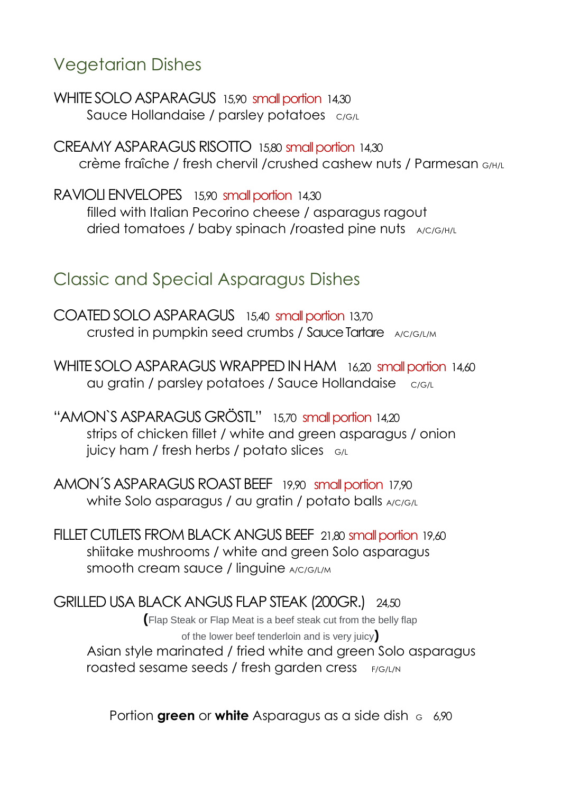Vegetarian Dishes

WHITE SOLO ASPARAGUS 15,90 small portion 14,30 Sauce Hollandaise / parsley potatoes C/G/L

CREAMY ASPARAGUS RISOTTO 15,80 small portion 14,30 crème fraîche / fresh chervil /crushed cashew nuts / Parmesan G/H/L

RAVIOLI ENVELOPES15,90 small portion 14,30 filled with Italian Pecorino cheese / asparagus ragout dried tomatoes / baby spinach /roasted pine nuts A/C/G/H/L

Classic and Special Asparagus Dishes

COATED SOLO ASPARAGUS 15,40 small portion 13,70 crusted in pumpkin seed crumbs / Sauce Tartare A/C/G/L/M

WHITE SOLO ASPARAGUS WRAPPED IN HAM16,20 small portion 14,60 au gratin / parsley potatoes / Sauce Hollandaise c/G/L

"AMON`S ASPARAGUS GRÖSTL" 15,70 small portion 14,20 strips of chicken fillet / white and green asparagus / onion juicy ham / fresh herbs / potato slices  $G/L$ 

AMON´S ASPARAGUS ROAST BEEF 19,90 small portion 17,90 white Solo asparagus / au gratin / potato balls A/C/G/L

FILLET CUTLETS FROM BLACK ANGUS BEEF21,80 small portion 19,60 shiitake mushrooms / white and green Solo asparagus smooth cream sauce / linguine A/C/G/L/M

GRILLED USA BLACK ANGUS FLAP STEAK (200GR.)24,50 **(**Flap Steak or Flap Meat is a beef steak cut from the belly flap of the lower beef tenderloin and is very juicy**)** Asian style marinated / fried white and green Solo asparagus roasted sesame seeds / fresh garden cress F/G/L/N

Portion **green** or **white** Asparagus as a side dish  $\epsilon$  6.90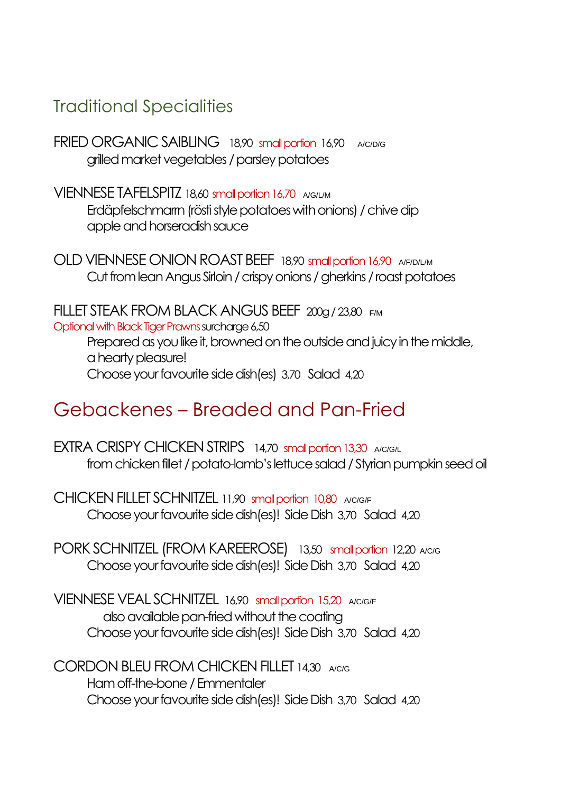#### Traditional Specialities

FRIED ORGANIC SAIBLING 18,90 small portion 16,90 A/C/D/G grilled market vegetables / parsley potatoes

VIENNESE TAFELSPITZ 18,60 small portion 16,70 A/G/L/M Erdäpfelschmarrn (rösti style potatoes with onions) / chive dip apple and horseradish sauce

OLD VIENNESE ONION ROAST BEEF 18,90 small portion 16,90 A/F/D/L/M Cut from lean Angus Sirloin/ crispy onions / gherkins / roast potatoes

FILLET STEAK FROM BLACK ANGUS BEEF 200g / 23,80 F/M Optional with Black Tiger Prawns surcharge 6,50 Prepared as you like it, browned on the outside and juicy in the middle, a hearty pleasure! Choose your favourite side dish(es) 3,70 Salad 4,20

#### Gebackenes – Breaded and Pan-Fried

FXTRA CRISPY CHICKEN STRIPS 14,70 small portion 13,30 A/C/G/L from chicken fillet / potato-lamb's lettuce salad/ Styrian pumpkin seed oil

CHICKEN FILLET SCHNITZEL 11,90 small portion 10,80 A/C/G/F Choose your favourite side dish(es)! Side Dish 3,70 Salad 4,20

PORK SCHNITZEL (FROM KAREEROSE) **13,50** small portion 12,20 A/C/G Choose your favourite side dish(es)! Side Dish 3,70 Salad 4,20

VIENNESE VEAL SCHNITZEL 16,90 small portion 15,20 A/C/G/F also available pan-fried without the coating Choose your favourite side dish(es)! Side Dish 3,70 Salad 4,20

CORDON BLEU FROM CHICKEN FILLET 14,30 A/C/G Ham off-the-bone/ Emmentaler Choose your favourite side dish(es)! Side Dish 3,70 Salad 4,20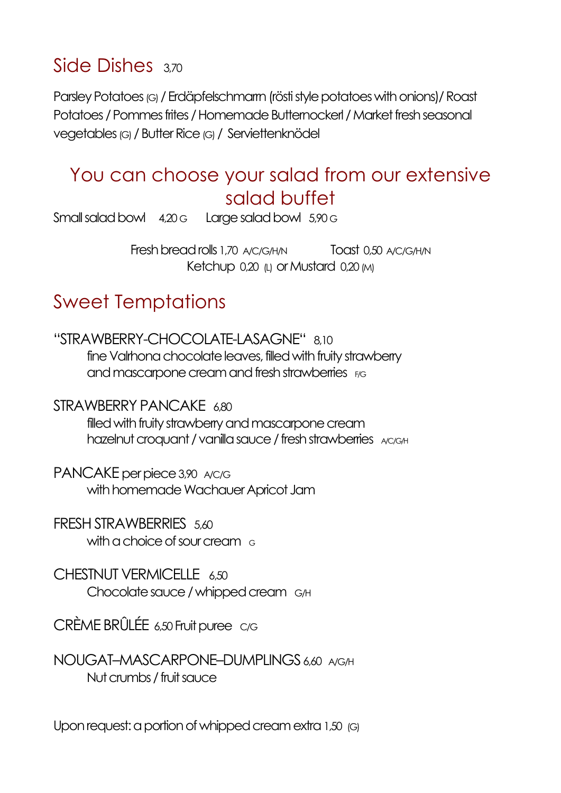## Side Dishes 3,70

Parsley Potatoes (G) / Erdäpfelschmarm (rösti style potatoes with onions) / Roast Potatoes / Pommes frites / Homemade Butternockerl / Market fresh seasonal vegetables (G) / Butter Rice (G) / Serviettenknödel

#### You can choose your salad from our extensive salad buffet

Small salad bowl 4,20 G Large salad bowl 5,90 G

Fresh bread rolls 1,70 A/C/G/H/N Toast 0,50 A/C/G/H/N Ketchup 0,20 (L) or Mustard 0,20 (M)

## Sweet Temptations

"STRAWBERRY-CHOCOLATE-LASAGNE" 8,10 fine Valrhona chocolate leaves, filled with fruity strawberry and mascarpone cream and fresh strawberries F/G

STRAWBERRY PANCAKE 6,80 filled with fruity strawberry and mascarpone cream hazelnut croquant / vanilla sauce / fresh strawberries AC/G/H

PANCAKE per piece 3,90 A/C/G with homemade Wachauer Apricot Jam

FRESH STRAWBERRIES 5,60 with a choice of sour cream  $\epsilon$ 

CHESTNUT VERMICELLE 6.50 Chocolate sauce/ whipped cream G/H

CRÈME BRÛLÉE 6,50 Fruit puree C/G

NOUGAT–MASCARPONE–DUMPLINGS 6,60 A/G/H Nut crumbs / fruit sauce

Upon request: a portion of whipped cream extra 1,50 (G)